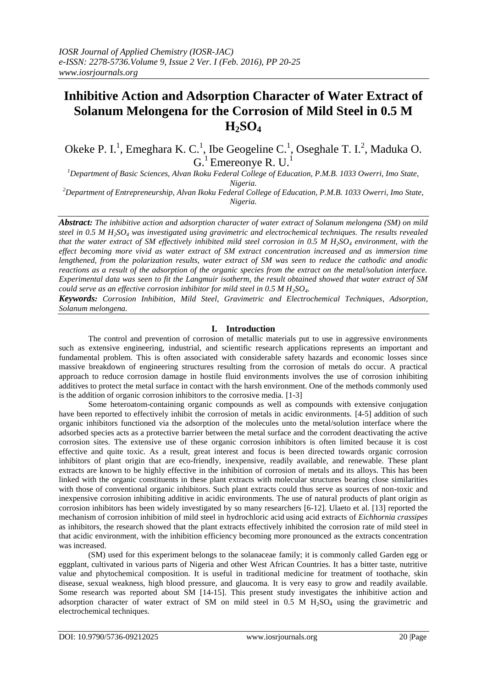# **Inhibitive Action and Adsorption Character of Water Extract of Solanum Melongena for the Corrosion of Mild Steel in 0.5 M H2SO<sup>4</sup>**

Okeke P. I.<sup>1</sup>, Emeghara K. C.<sup>1</sup>, Ibe Geogeline C.<sup>1</sup>, Oseghale T. I.<sup>2</sup>, Maduka O.  $G<sup>1</sup>$  Emereonye R. U.<sup>1</sup>

*<sup>1</sup>Department of Basic Sciences, Alvan Ikoku Federal College of Education, P.M.B. 1033 Owerri, Imo State, Nigeria.*

*<sup>2</sup>Department of Entrepreneurship, Alvan Ikoku Federal College of Education, P.M.B. 1033 Owerri, Imo State, Nigeria.*

*Abstract: The inhibitive action and adsorption character of water extract of Solanum melongena (SM) on mild steel in 0.5 M H2SO<sup>4</sup> was investigated using gravimetric and electrochemical techniques. The results revealed that the water extract of SM effectively inhibited mild steel corrosion in 0.5 M H2SO<sup>4</sup> environment, with the effect becoming more vivid as water extract of SM extract concentration increased and as immersion time lengthened, from the polarization results, water extract of SM was seen to reduce the cathodic and anodic reactions as a result of the adsorption of the organic species from the extract on the metal/solution interface. Experimental data was seen to fit the Langmuir isotherm, the result obtained showed that water extract of SM could serve as an effective corrosion inhibitor for mild steel in 0.5 M H2SO4.*

*Keywords: Corrosion Inhibition, Mild Steel, Gravimetric and Electrochemical Techniques, Adsorption, Solanum melongena.*

### **I. Introduction**

The control and prevention of corrosion of metallic materials put to use in aggressive environments such as extensive engineering, industrial, and scientific research applications represents an important and fundamental problem. This is often associated with considerable safety hazards and economic losses since massive breakdown of engineering structures resulting from the corrosion of metals do occur. A practical approach to reduce corrosion damage in hostile fluid environments involves the use of corrosion inhibiting additives to protect the metal surface in contact with the harsh environment. One of the methods commonly used is the addition of organic corrosion inhibitors to the corrosive media. [1-3]

Some heteroatom-containing organic compounds as well as compounds with extensive conjugation have been reported to effectively inhibit the corrosion of metals in acidic environments. [4-5] addition of such organic inhibitors functioned via the adsorption of the molecules unto the metal/solution interface where the adsorbed species acts as a protective barrier between the metal surface and the corrodent deactivating the active corrosion sites. The extensive use of these organic corrosion inhibitors is often limited because it is cost effective and quite toxic. As a result, great interest and focus is been directed towards organic corrosion inhibitors of plant origin that are eco-friendly, inexpensive, readily available, and renewable. These plant extracts are known to be highly effective in the inhibition of corrosion of metals and its alloys. This has been linked with the organic constituents in these plant extracts with molecular structures bearing close similarities with those of conventional organic inhibitors. Such plant extracts could thus serve as sources of non-toxic and inexpensive corrosion inhibiting additive in acidic environments. The use of natural products of plant origin as corrosion inhibitors has been widely investigated by so many researchers [6-12]. Ulaeto et al. [13] reported the mechanism of corrosion inhibition of mild steel in hydrochloric acid using acid extracts of *Eichhornia crassipes* as inhibitors, the research showed that the plant extracts effectively inhibited the corrosion rate of mild steel in that acidic environment, with the inhibition efficiency becoming more pronounced as the extracts concentration was increased.

(SM) used for this experiment belongs to the solanaceae family; it is commonly called Garden egg or eggplant, cultivated in various parts of Nigeria and other West African Countries. It has a bitter taste, nutritive value and phytochemical composition. It is useful in traditional medicine for treatment of toothache, skin disease, sexual weakness, high blood pressure, and glaucoma. It is very easy to grow and readily available. Some research was reported about SM [14-15]. This present study investigates the inhibitive action and adsorption character of water extract of SM on mild steel in  $0.5$  M  $H<sub>2</sub>SO<sub>4</sub>$  using the gravimetric and electrochemical techniques.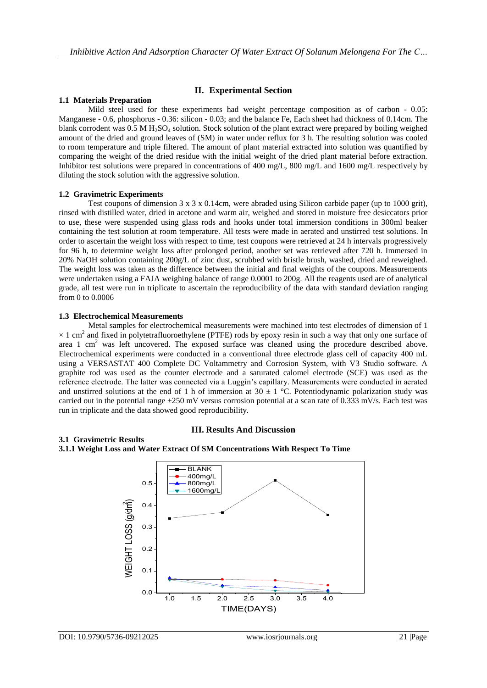## **II. Experimental Section**

## **1.1 Materials Preparation**

Mild steel used for these experiments had weight percentage composition as of carbon - 0.05: Manganese - 0.6, phosphorus - 0.36: silicon - 0.03; and the balance Fe, Each sheet had thickness of 0.14cm. The blank corrodent was  $0.5 M H_2SO_4$  solution. Stock solution of the plant extract were prepared by boiling weighed amount of the dried and ground leaves of (SM) in water under reflux for 3 h. The resulting solution was cooled to room temperature and triple filtered. The amount of plant material extracted into solution was quantified by comparing the weight of the dried residue with the initial weight of the dried plant material before extraction. Inhibitor test solutions were prepared in concentrations of 400 mg/L, 800 mg/L and 1600 mg/L respectively by diluting the stock solution with the aggressive solution.

#### **1.2 Gravimetric Experiments**

Test coupons of dimension  $3 \times 3 \times 0.14$ cm, were abraded using Silicon carbide paper (up to 1000 grit), rinsed with distilled water, dried in acetone and warm air, weighed and stored in moisture free desiccators prior to use, these were suspended using glass rods and hooks under total immersion conditions in 300ml beaker containing the test solution at room temperature. All tests were made in aerated and unstirred test solutions. In order to ascertain the weight loss with respect to time, test coupons were retrieved at 24 h intervals progressively for 96 h, to determine weight loss after prolonged period, another set was retrieved after 720 h. Immersed in 20% NaOH solution containing 200g/L of zinc dust, scrubbed with bristle brush, washed, dried and reweighed. The weight loss was taken as the difference between the initial and final weights of the coupons. Measurements were undertaken using a FAJA weighing balance of range 0.0001 to 200g. All the reagents used are of analytical grade, all test were run in triplicate to ascertain the reproducibility of the data with standard deviation ranging from 0 to 0.0006

#### **1.3 Electrochemical Measurements**

Metal samples for electrochemical measurements were machined into test electrodes of dimension of 1  $\times$  1 cm<sup>2</sup> and fixed in polytetrafluoroethylene (PTFE) rods by epoxy resin in such a way that only one surface of area 1 cm<sup>2</sup> was left uncovered. The exposed surface was cleaned using the procedure described above. Electrochemical experiments were conducted in a conventional three electrode glass cell of capacity 400 mL using a VERSASTAT 400 Complete DC Voltammetry and Corrosion System, with V3 Studio software. A graphite rod was used as the counter electrode and a saturated calomel electrode (SCE) was used as the reference electrode. The latter was connected via a Luggin's capillary. Measurements were conducted in aerated and unstirred solutions at the end of 1 h of immersion at  $30 \pm 1$  °C. Potentiodynamic polarization study was carried out in the potential range  $\pm 250$  mV versus corrosion potential at a scan rate of 0.333 mV/s. Each test was run in triplicate and the data showed good reproducibility.

#### **III. Results And Discussion**

#### **3.1 Gravimetric Results**



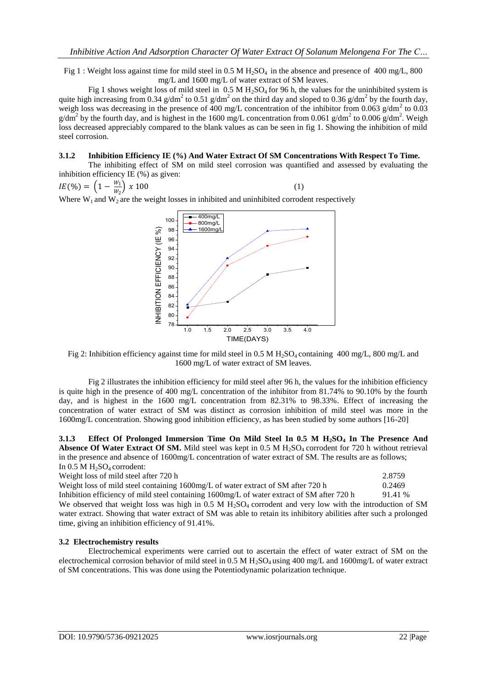Fig 1 : Weight loss against time for mild steel in 0.5 M H<sub>2</sub>SO<sub>4</sub> in the absence and presence of 400 mg/L, 800 mg/L and 1600 mg/L of water extract of SM leaves.

Fig 1 shows weight loss of mild steel in  $0.5 M H<sub>2</sub>SO<sub>4</sub>$  for 96 h, the values for the uninhibited system is quite high increasing from 0.34 g/dm<sup>2</sup> to 0.51 g/dm<sup>2</sup> on the third day and sloped to 0.36 g/dm<sup>2</sup> by the fourth day, weigh loss was decreasing in the presence of 400 mg/L concentration of the inhibitor from 0.063 g/dm<sup>2</sup> to 0.03  $g/dm^2$  by the fourth day, and is highest in the 1600 mg/L concentration from 0.061 g/dm<sup>2</sup> to 0.006 g/dm<sup>2</sup>. Weigh loss decreased appreciably compared to the blank values as can be seen in fig 1. Showing the inhibition of mild steel corrosion.

#### **3.1.2 Inhibition Efficiency IE (%) And Water Extract Of SM Concentrations With Respect To Time.**

The inhibiting effect of SM on mild steel corrosion was quantified and assessed by evaluating the inhibition efficiency IE (%) as given:

$$
IE(\%) = \left(1 - \frac{w_1}{w_2}\right) x 100 \tag{1}
$$

Where  $W_1$  and  $W_2$  are the weight losses in inhibited and uninhibited corrodent respectively



Fig 2: Inhibition efficiency against time for mild steel in 0.5 M H<sub>2</sub>SO<sub>4</sub> containing 400 mg/L, 800 mg/L and 1600 mg/L of water extract of SM leaves.

Fig 2 illustrates the inhibition efficiency for mild steel after 96 h, the values for the inhibition efficiency is quite high in the presence of 400 mg/L concentration of the inhibitor from 81.74% to 90.10% by the fourth day, and is highest in the 1600 mg/L concentration from 82.31% to 98.33%. Effect of increasing the concentration of water extract of SM was distinct as corrosion inhibition of mild steel was more in the 1600mg/L concentration. Showing good inhibition efficiency, as has been studied by some authors [16-20]

**3.1.3 Effect Of Prolonged Immersion Time On Mild Steel In 0.5 M H2SO<sup>4</sup> In The Presence And Absence Of Water Extract Of SM.** Mild steel was kept in 0.5 M H<sub>2</sub>SO<sub>4</sub> corrodent for 720 h without retrieval in the presence and absence of 1600mg/L concentration of water extract of SM. The results are as follows; In  $0.5$  M  $H<sub>2</sub>SO<sub>4</sub>$  corrodent:

Weight loss of mild steel after 720 h 2.8759

Weight loss of mild steel containing 1600mg/L of water extract of SM after 720 h 0.2469

Inhibition efficiency of mild steel containing 1600mg/L of water extract of SM after 720 h 91.41 % We observed that weight loss was high in  $0.5 \text{ M H}_2\text{SO}_4$  corrodent and very low with the introduction of SM water extract. Showing that water extract of SM was able to retain its inhibitory abilities after such a prolonged time, giving an inhibition efficiency of 91.41%.

#### **3.2 Electrochemistry results**

Electrochemical experiments were carried out to ascertain the effect of water extract of SM on the electrochemical corrosion behavior of mild steel in 0.5 M  $H_2SO_4$  using 400 mg/L and 1600mg/L of water extract of SM concentrations. This was done using the Potentiodynamic polarization technique.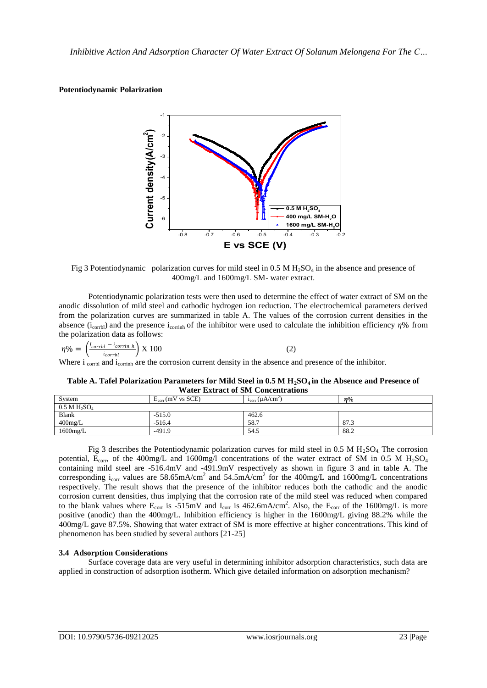## **Potentiodynamic Polarization**



Fig 3 Potentiodynamic polarization curves for mild steel in 0.5 M  $H_2SO_4$  in the absence and presence of 400mg/L and 1600mg/L SM- water extract.

Potentiodynamic polarization tests were then used to determine the effect of water extract of SM on the anodic dissolution of mild steel and cathodic hydrogen ion reduction. The electrochemical parameters derived from the polarization curves are summarized in table A. The values of the corrosion current densities in the absence ( $i_{\text{corl}}$ ) and the presence  $i_{\text{corr}}$  of the inhibitor were used to calculate the inhibition efficiency  $\eta$ % from the polarization data as follows:

|  | $\eta\% = \left(\frac{I_{corrbl} - i_{corrin h}}{i_{corrbl}}\right) \text{X} 100$ |  |                                                                                                                                                    |
|--|-----------------------------------------------------------------------------------|--|----------------------------------------------------------------------------------------------------------------------------------------------------|
|  |                                                                                   |  | Where $\mathbf{i}_{\text{corb}}$ and $\mathbf{i}_{\text{corrinh}}$ are the corrosion current density in the absence and presence of the inhibitor. |

**Table A. Tafel Polarization Parameters for Mild Steel in 0.5 M H2SO4 in the Absence and Presence of Water Extract of SM Concentrations**

| . . WYYZ ASIAYA WYY VA MAI'A W VALYVALYA WYAVANU |                                |                        |       |  |  |  |  |
|--------------------------------------------------|--------------------------------|------------------------|-------|--|--|--|--|
| System                                           | $E_{corr}(mV \text{ vs } SCE)$ | $i_{corr}(\mu A/cm^2)$ | $n\%$ |  |  |  |  |
| $0.5$ M $H_2SO_4$                                |                                |                        |       |  |  |  |  |
| Blank                                            | $-515.0$                       | 462.6                  |       |  |  |  |  |
| $400$ mg/L                                       | $-516.4$                       | 58.7                   | 87.3  |  |  |  |  |
| $1600$ mg/L                                      | $-491.9$                       | 54.5                   | 88.2  |  |  |  |  |

Fig 3 describes the Potentiodynamic polarization curves for mild steel in  $0.5$  M  $H_2SO_4$ . The corrosion potential,  $E_{corr}$ , of the 400mg/L and 1600mg/l concentrations of the water extract of SM in 0.5 M H<sub>2</sub>SO<sub>4</sub> containing mild steel are -516.4mV and -491.9mV respectively as shown in figure 3 and in table A. The corresponding  $i_{corr}$  values are 58.65mA/cm<sup>2</sup> and 54.5mA/cm<sup>2</sup> for the 400mg/L and 1600mg/L concentrations respectively. The result shows that the presence of the inhibitor reduces both the cathodic and the anodic corrosion current densities, thus implying that the corrosion rate of the mild steel was reduced when compared to the blank values where  $E_{corr}$  is  $-515 \text{mV}$  and  $I_{corr}$  is  $462.6 \text{mA/cm}^2$ . Also, the  $E_{corr}$  of the 1600mg/L is more positive (anodic) than the 400mg/L. Inhibition efficiency is higher in the 1600mg/L giving 88.2% while the 400mg/L gave 87.5%. Showing that water extract of SM is more effective at higher concentrations. This kind of phenomenon has been studied by several authors [21-25]

## **3.4 Adsorption Considerations**

Surface coverage data are very useful in determining inhibitor adsorption characteristics, such data are applied in construction of adsorption isotherm. Which give detailed information on adsorption mechanism?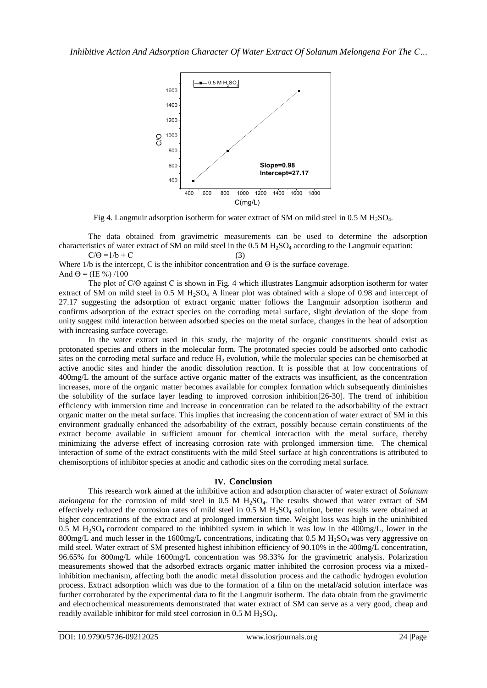

Fig 4. Langmuir adsorption isotherm for water extract of SM on mild steel in 0.5 M H<sub>2</sub>SO<sub>4</sub>.

The data obtained from gravimetric measurements can be used to determine the adsorption characteristics of water extract of SM on mild steel in the  $0.5$  M  $H<sub>2</sub>SO<sub>4</sub>$  according to the Langmuir equation:  $C/\Theta = 1/b + C$  (3)

Where  $1/b$  is the intercept, C is the inhibitor concentration and  $\Theta$  is the surface coverage. And  $\Theta = (IE \frac{9}{0}) / 100$ 

The plot of C/ $\Theta$  against C is shown in Fig. 4 which illustrates Langmuir adsorption isotherm for water extract of SM on mild steel in 0.5 M H<sub>2</sub>SO<sub>4</sub> A linear plot was obtained with a slope of 0.98 and intercept of 27.17 suggesting the adsorption of extract organic matter follows the Langmuir adsorption isotherm and confirms adsorption of the extract species on the corroding metal surface, slight deviation of the slope from unity suggest mild interaction between adsorbed species on the metal surface, changes in the heat of adsorption with increasing surface coverage.

In the water extract used in this study, the majority of the organic constituents should exist as protonated species and others in the molecular form. The protonated species could be adsorbed onto cathodic sites on the corroding metal surface and reduce  $H_2$  evolution, while the molecular species can be chemisorbed at active anodic sites and hinder the anodic dissolution reaction. It is possible that at low concentrations of 400mg/L the amount of the surface active organic matter of the extracts was insufficient, as the concentration increases, more of the organic matter becomes available for complex formation which subsequently diminishes the solubility of the surface layer leading to improved corrosion inhibition[26-30]. The trend of inhibition efficiency with immersion time and increase in concentration can be related to the adsorbability of the extract organic matter on the metal surface. This implies that increasing the concentration of water extract of SM in this environment gradually enhanced the adsorbability of the extract, possibly because certain constituents of the extract become available in sufficient amount for chemical interaction with the metal surface, thereby minimizing the adverse effect of increasing corrosion rate with prolonged immersion time. The chemical interaction of some of the extract constituents with the mild Steel surface at high concentrations is attributed to chemisorptions of inhibitor species at anodic and cathodic sites on the corroding metal surface.

## **IV. Conclusion**

This research work aimed at the inhibitive action and adsorption character of water extract of *Solanum melongena* for the corrosion of mild steel in 0.5 M H<sub>2</sub>SO<sub>4</sub>. The results showed that water extract of SM effectively reduced the corrosion rates of mild steel in  $0.5$  M  $H<sub>2</sub>SO<sub>4</sub>$  solution, better results were obtained at higher concentrations of the extract and at prolonged immersion time. Weight loss was high in the uninhibited 0.5 M  $H_2SO_4$  corrodent compared to the inhibited system in which it was low in the 400mg/L, lower in the 800mg/L and much lesser in the 1600mg/L concentrations, indicating that  $0.5$  M H<sub>2</sub>SO<sub>4</sub> was very aggressive on mild steel. Water extract of SM presented highest inhibition efficiency of 90.10% in the 400mg/L concentration, 96.65% for 800mg/L while 1600mg/L concentration was 98.33% for the gravimetric analysis. Polarization measurements showed that the adsorbed extracts organic matter inhibited the corrosion process via a mixedinhibition mechanism, affecting both the anodic metal dissolution process and the cathodic hydrogen evolution process. Extract adsorption which was due to the formation of a film on the metal/acid solution interface was further corroborated by the experimental data to fit the Langmuir isotherm. The data obtain from the gravimetric and electrochemical measurements demonstrated that water extract of SM can serve as a very good, cheap and readily available inhibitor for mild steel corrosion in  $0.5 M H_2SO_4$ .